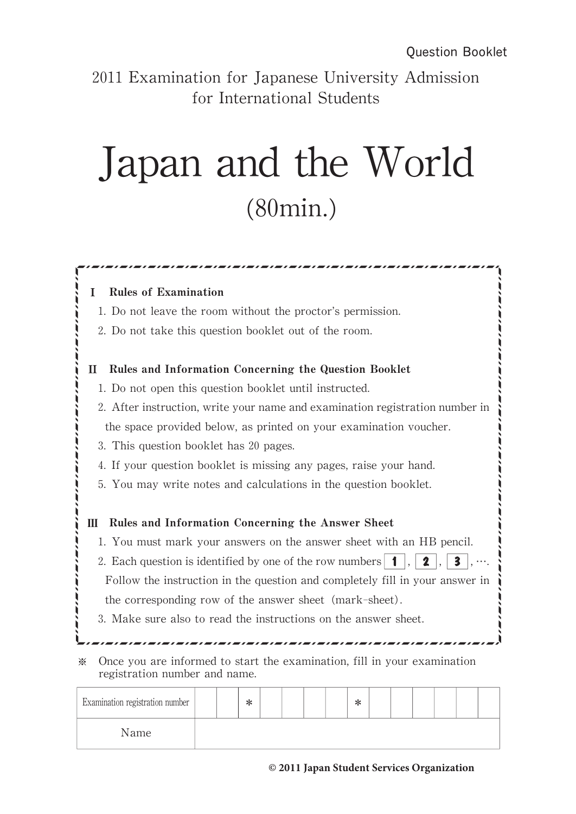2011 Examination for Japanese University Admission for International Students

## Japan and the World (80min.)

쟙쟙쟙쟙쟙쟙쟙쟙쟙쟙쟙쟙쟙쟙쟙

| 1. Do not leave the room without the proctor's permission.                   |                                                                                                                                         |  |  |  |  |  |  |                |  |                                                                          |  |
|------------------------------------------------------------------------------|-----------------------------------------------------------------------------------------------------------------------------------------|--|--|--|--|--|--|----------------|--|--------------------------------------------------------------------------|--|
| 2. Do not take this question booklet out of the room.                        |                                                                                                                                         |  |  |  |  |  |  |                |  |                                                                          |  |
| Rules and Information Concerning the Question Booklet<br>H                   |                                                                                                                                         |  |  |  |  |  |  |                |  |                                                                          |  |
| 1. Do not open this question booklet until instructed.                       |                                                                                                                                         |  |  |  |  |  |  |                |  |                                                                          |  |
| 2. After instruction, write your name and examination registration number in |                                                                                                                                         |  |  |  |  |  |  |                |  |                                                                          |  |
| the space provided below, as printed on your examination voucher.            |                                                                                                                                         |  |  |  |  |  |  |                |  |                                                                          |  |
| 3. This question booklet has 20 pages.                                       |                                                                                                                                         |  |  |  |  |  |  |                |  |                                                                          |  |
| 4. If your question booklet is missing any pages, raise your hand.           |                                                                                                                                         |  |  |  |  |  |  |                |  |                                                                          |  |
| 5. You may write notes and calculations in the question booklet.             |                                                                                                                                         |  |  |  |  |  |  |                |  |                                                                          |  |
|                                                                              |                                                                                                                                         |  |  |  |  |  |  |                |  |                                                                          |  |
| Rules and Information Concerning the Answer Sheet<br>Ш                       |                                                                                                                                         |  |  |  |  |  |  |                |  |                                                                          |  |
| 1. You must mark your answers on the answer sheet with an HB pencil.         |                                                                                                                                         |  |  |  |  |  |  | $\overline{1}$ |  | 3                                                                        |  |
| 2. Each question is identified by one of the row numbers                     |                                                                                                                                         |  |  |  |  |  |  |                |  |                                                                          |  |
|                                                                              | Follow the instruction in the question and completely fill in your answer in<br>the corresponding row of the answer sheet (mark-sheet). |  |  |  |  |  |  |                |  |                                                                          |  |
|                                                                              |                                                                                                                                         |  |  |  |  |  |  |                |  |                                                                          |  |
| 3. Make sure also to read the instructions on the answer sheet.              |                                                                                                                                         |  |  |  |  |  |  |                |  |                                                                          |  |
|                                                                              |                                                                                                                                         |  |  |  |  |  |  |                |  |                                                                          |  |
|                                                                              |                                                                                                                                         |  |  |  |  |  |  |                |  | Once you are informed to start the examination, fill in your examination |  |

| examination registration number |  | $\sim$<br>≛ |  |  | $\tilde{\phantom{a}}$<br>ᅲ |  |  |  |
|---------------------------------|--|-------------|--|--|----------------------------|--|--|--|
| Name                            |  |             |  |  |                            |  |  |  |
|                                 |  |             |  |  |                            |  |  |  |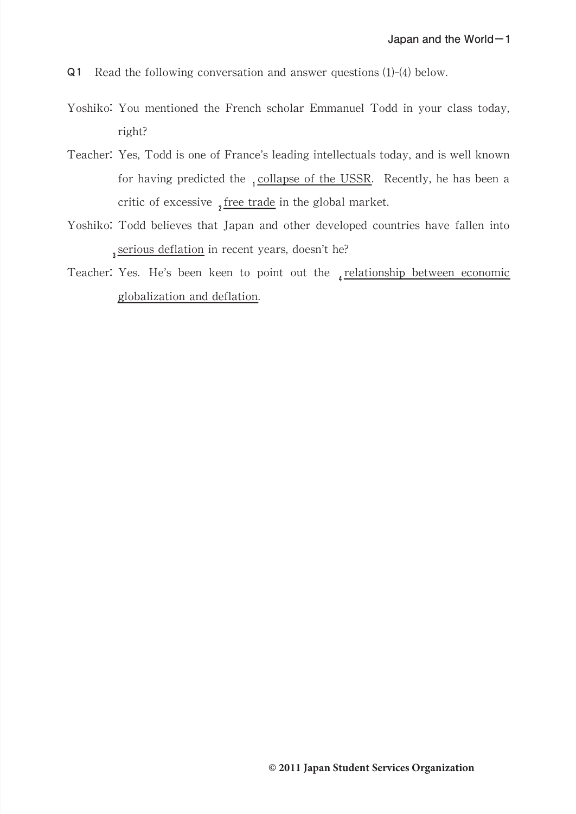- Q1 Read the following conversation and answer questions (1)-(4) below.
- Yoshiko: You mentioned the French scholar Emmanuel Todd in your class today, right?
- Teacher: Yes, Todd is one of France's leading intellectuals today, and is well known for having predicted the  $_1$ collapse of the USSR. Recently, he has been a critic of excessive  $\sqrt{\frac{2f}{n}}$  free trade in the global market.
- Yoshiko: Todd believes that Japan and other developed countries have fallen into 3 serious deflation in recent years, doesn't he?
- Teacher: Yes. He's been keen to point out the  $_4$  relationship between economic globalization and deflation.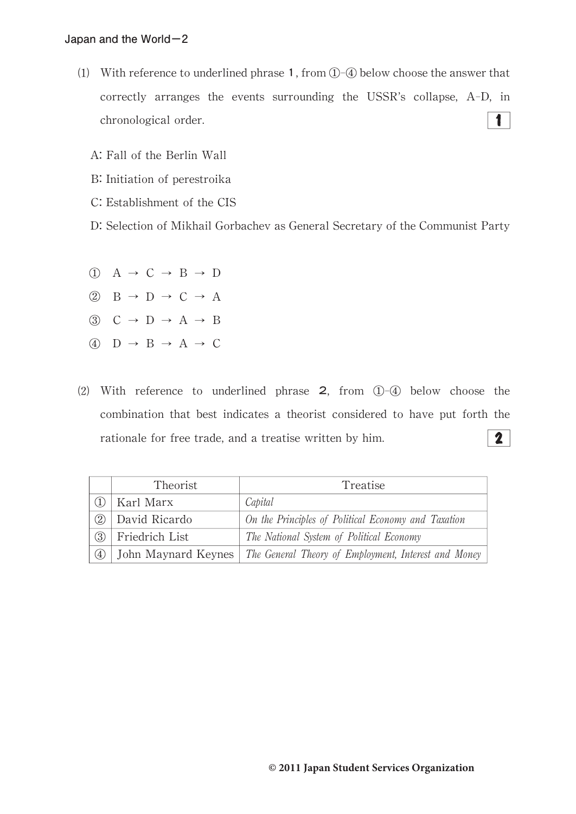- (1) With reference to underlined phrase 1, from  $(1)$ - $(4)$  below choose the answer that correctly arranges the events surrounding the USSR's collapse,  $A-D$ , in  $\blacksquare$ chronological order.
	- A:Fall of the Berlin Wall
	- B: Initiation of perestroika
	- C: Establishment of the CIS
	- D: Selection of Mikhail Gorbachev as General Secretary of the Communist Party
	- $\overline{a}$  A  $\rightarrow$  C  $\rightarrow$  B  $\rightarrow$  D
	- $\textcircled{2}$  B  $\rightarrow$  D  $\rightarrow$  C  $\rightarrow$  A
	- $\circled{3}$  C  $\rightarrow$  D  $\rightarrow$  A  $\rightarrow$  B
	- $\overline{A}$  D  $\rightarrow$  B  $\rightarrow$  A  $\rightarrow$  C
- (2) With reference to underlined phrase  $2$ , from  $\bigoplus -\bigoplus$  below choose the combination that best indicates a theorist considered to have put forth the  $\mathbf{2}$ rationale for free trade, and a treatise written by him.

|                   | Theorist       | Treatise                                                                   |
|-------------------|----------------|----------------------------------------------------------------------------|
|                   | Karl Marx      | Capital                                                                    |
| (2)               | David Ricardo  | On the Principles of Political Economy and Taxation                        |
| (3)               | Friedrich List | The National System of Political Economy                                   |
| $\left( 4\right)$ |                | John Maynard Keynes   The General Theory of Employment, Interest and Money |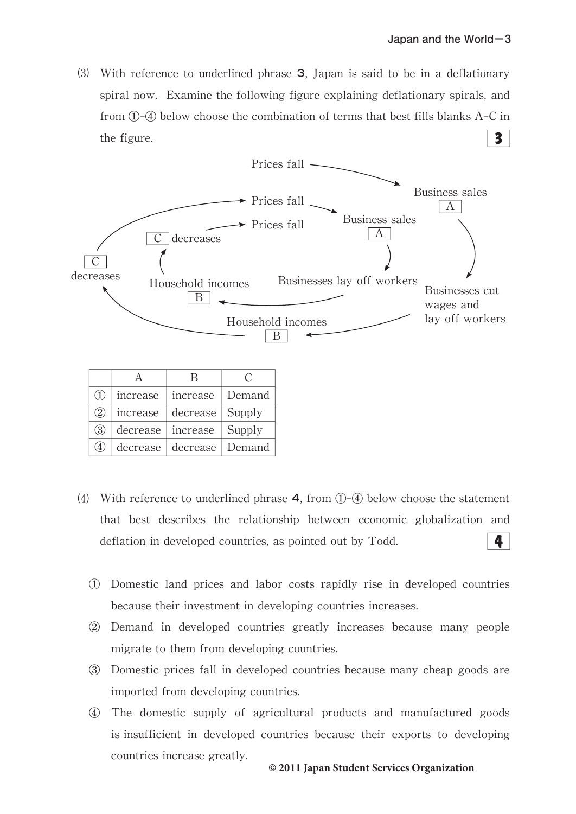⑶ With reference to underlined phrase 3,Japan is said to be in a deflationary spiral now. Examine the following figure explaining deflationary spirals, and from  $(1)$ - $(4)$  below choose the combination of terms that best fills blanks A-C in  $\overline{\mathbf{3}}$ the figure.



| (1) | increase | increase                     | Demand |
|-----|----------|------------------------------|--------|
| (2) | increase | decrease Supply              |        |
| (3) |          | decrease increase            | Supply |
|     |          | decrease   decrease   Demand |        |

- (4) With reference to underlined phrase  $4$ , from  $\mathbb{O}(\sqrt{4})$  below choose the statement that best describes the relationship between economic globalization and deflation in developed countries, as pointed out by Todd. 4
	- ① Domestic land prices and labor costs rapidly rise in developed countries because their investment in developing countries increases.
	- ② Demand in developed countries greatly increases because many people migrate to them from developing countries.
	- ③ Domestic prices fall in developed countries because many cheap goods are imported from developing countries.
	- ④ The domestic supply of agricultural products and manufactured goods is insufficient in developed countries because their exports to developing countries increase greatly.

## **© 2011 Japan Student Services Organization**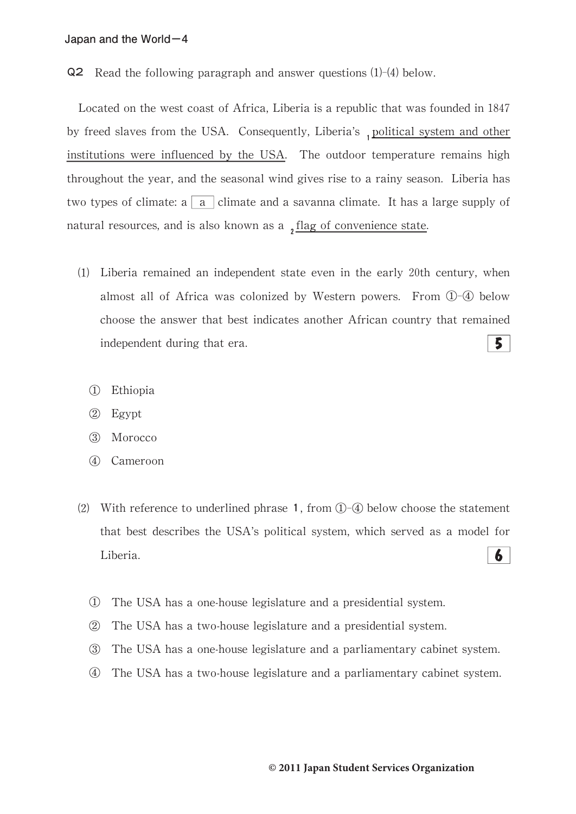Q2 Read the following paragraph and answer questions (1)-(4) below.

Located on the west coast of Africa, Liberia is a republic that was founded in 1847 by freed slaves from the USA. Consequently, Liberia's, political system and other institutions were influenced by the USA. The outdoor temperature remains high throughout the year, and the seasonal wind gives rise to a rainy season. Liberia has two types of climate: a  $\boxed{a}$  climate and a savanna climate. It has a large supply of natural resources, and is also known as a  $\frac{1}{2}$  flag of convenience state.

- ⑴ Liberia remained an independent state even in the early 20th century,when almost all of Africa was colonized by Western powers. From ①-④ below choose the answer that best indicates another African country that remained  $5<sup>1</sup>$ independent during that era.
	- ① Ethiopia
	- ② Egypt
	- ③ Morocco
	- ④ Cameroon
- (2) With reference to underlined phrase 1, from  $\mathbb{O}$ - $\mathbb{Q}$  below choose the statement that best describes the USA's political system, which served as a model for 6 Liberia.
	- ① The USA has a one-house legislature and a presidential system.
	- ② The USA has a two-house legislature and a presidential system.
	- ③ The USA has a one-house legislature and a parliamentary cabinet system.
	- ④ The USA has a two-house legislature and a parliamentary cabinet system.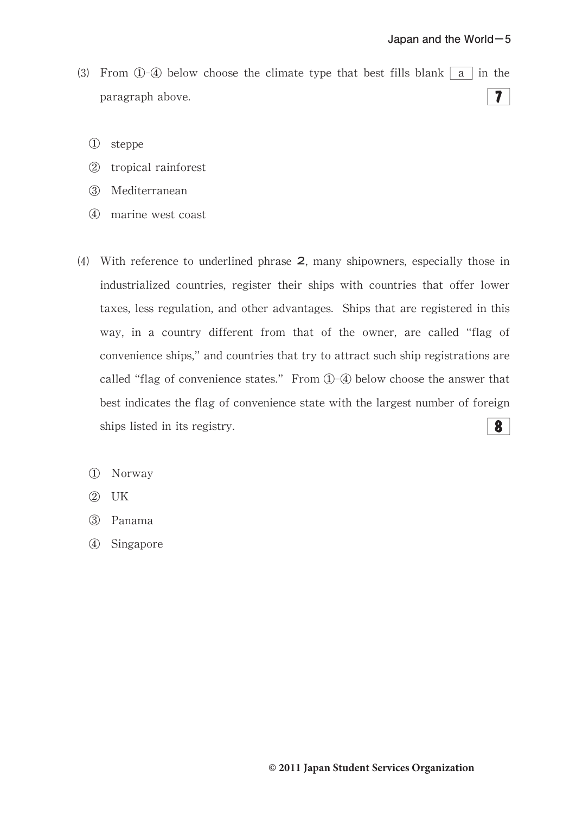- (3) From  $(1)$ - $(4)$  below choose the climate type that best fills blank a in the  $7<sup>1</sup>$ paragraph above.
	- ① steppe
	- ② tropical rainforest
	- ③ Mediterranean
	- ④ marine west coast
- (4) With reference to underlined phrase 2, many shipowners, especially those in industrialized countries, register their ships with countries that offer lower taxes, less regulation, and other advantages. Ships that are registered in this way, in a country different from that of the owner, are called "flag of convenience ships,"and countries that try to attract such ship registrations are called "flag of convenience states." From 1-4 below choose the answer that best indicates the flag of convenience state with the largest number of foreign  $\boldsymbol{8}$ ships listed in its registry.
	- ① Norway
	- ② UK
	- ③ Panama
	- ④ Singapore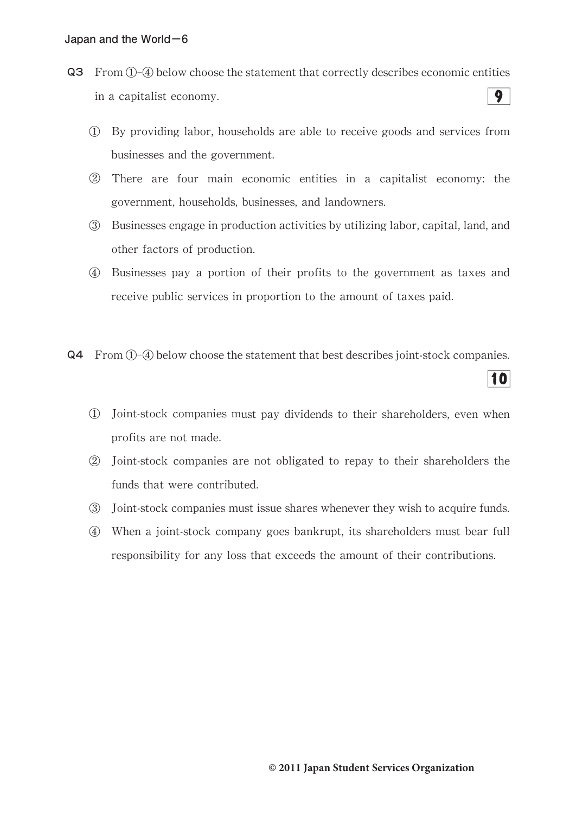- Q3 From①-④ below choose the statement that correctly describes economic entities  $\overline{9}$ in a capitalist economy.
	- ① By providing labor,households are able to receive goods and services from businesses and the government.
	- ② There are four main economic entities in a capitalist economy:the government, households, businesses, and landowners.
	- ③ Businesses engage in production activities by utilizing labor,capital,land,and other factors of production.
	- ④ Businesses pay a portion of their profits to the government as taxes and receive public services in proportion to the amount of taxes paid.
- Q4 From①-④ below choose the statement that best describes joint-stock companies.
	- ① Joint-stock companies must pay dividends to their shareholders,even when profits are not made.
	- ② Joint-stock companies are not obligated to repay to their shareholders the funds that were contributed.
	- ③ Joint-stock companies must issue shares whenever they wish to acquire funds.
	- ④ When a joint-stock company goes bankrupt,its shareholders must bear full responsibility for any loss that exceeds the amount of their contributions.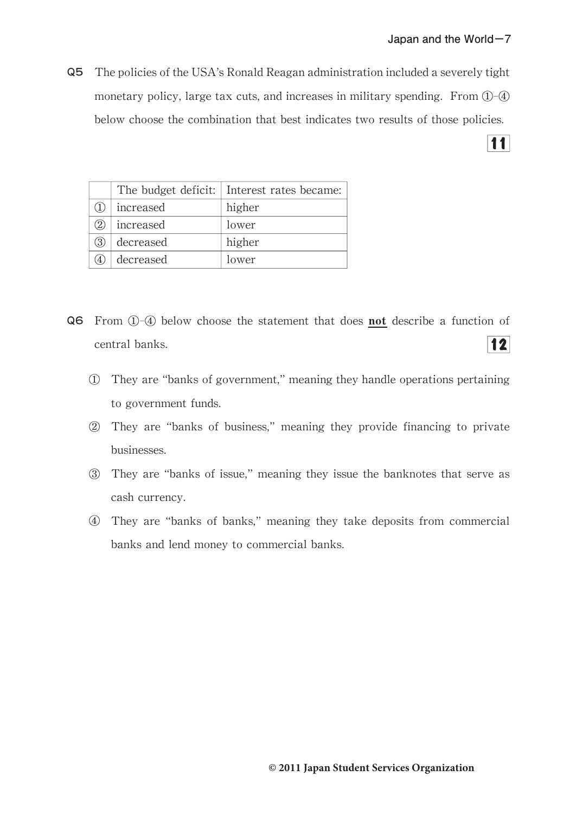Q5 The policies of the USA's Ronald Reagan administration included a severely tight monetary policy, large tax cuts, and increases in military spending. From  $\mathbb{O}$ - $\mathbb{Q}$ below choose the combination that best indicates two results of those policies.

 $\overline{11}$ 

|           | The budget deficit: Interest rates became: |
|-----------|--------------------------------------------|
| increased | higher                                     |
| increased | lower                                      |
| decreased | higher                                     |
| decreased | lower                                      |

- Q6 From ①-④ below choose the statement that does not describe a function of  $|12|$ central banks.
	- ① They are"banks of government,"meaning they handle operations pertaining to government funds.
	- ② They are"banks of business,"meaning they provide financing to private businesses.
	- ③ They are"banks of issue,"meaning they issue the banknotes that serve as cash currency.
	- ④ They are"banks of banks,"meaning they take deposits from commercial banks and lend money to commercial banks.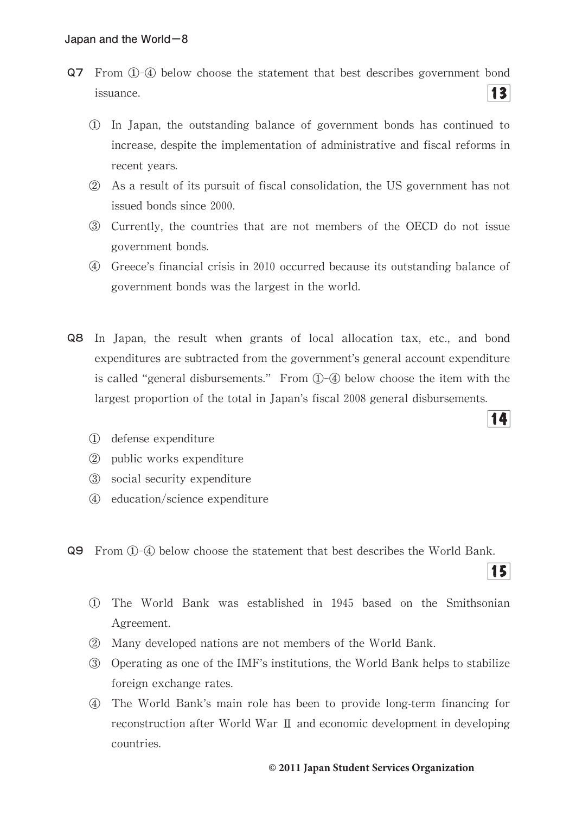- Q7 From ①-④ below choose the statement that best describes government bond  $|3|$ issuance.
	- ① In Japan,the outstanding balance of government bonds has continued to increase, despite the implementation of administrative and fiscal reforms in recent years.
	- ② As a result of its pursuit of fiscal consolidation,the US government has not issued bonds since 2000.
	- ③ Currently,the countries that are not members of the OECD do not issue government bonds.
	- ④ Greece's financial crisis in 2010 occurred because its outstanding balance of government bonds was the largest in the world.
- **Q8** In Japan, the result when grants of local allocation tax, etc., and bond expenditures are subtracted from the government's general account expenditure is called "general disbursements." From  $(1)$ - $(4)$  below choose the item with the largest proportion of the total in Japan's fiscal 2008 general disbursements.
	- ① defense expenditure
	- ② public works expenditure
	- ③ social security expenditure
	- ④ education/science expenditure
- Q9 From ①-④ below choose the statement that best describes the World Bank.
	- ① The World Bank was established in 1945 based on the Smithsonian Agreement.
	- ② Many developed nations are not members of the World Bank.
	- ③ Operating as one of the IMF's institutions,the World Bank helps to stabilize foreign exchange rates.
	- ④ The World Bank's main role has been to provide long-term financing for reconstruction after World War  $\rm{II}$  and economic development in developing countries.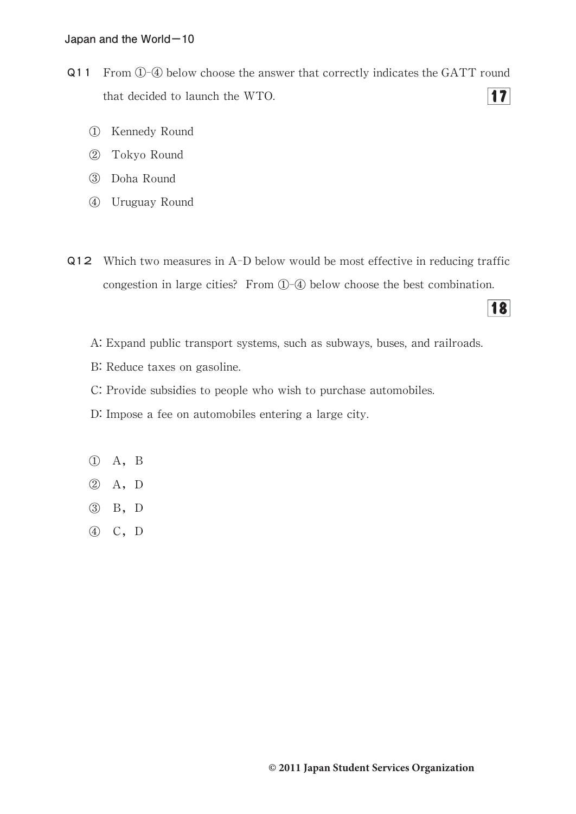- Q11 From ①-④ below choose the answer that correctly indicates the GATT round  $|17|$ that decided to launch the WTO.
	- ① Kennedy Round
	- ② Tokyo Round
	- ③ Doha Round
	- ④ Uruguay Round
- Q12 Which two measures in A-D below would be most effective in reducing traffic congestion in large cities? From  $(1)$ - $(4)$  below choose the best combination.

- A: Expand public transport systems, such as subways, buses, and railroads.
- B: Reduce taxes on gasoline.
- C: Provide subsidies to people who wish to purchase automobiles.
- D: Impose a fee on automobiles entering a large city.
- ① A,B
- ② A,D
- ③ B,D
- ④ C,D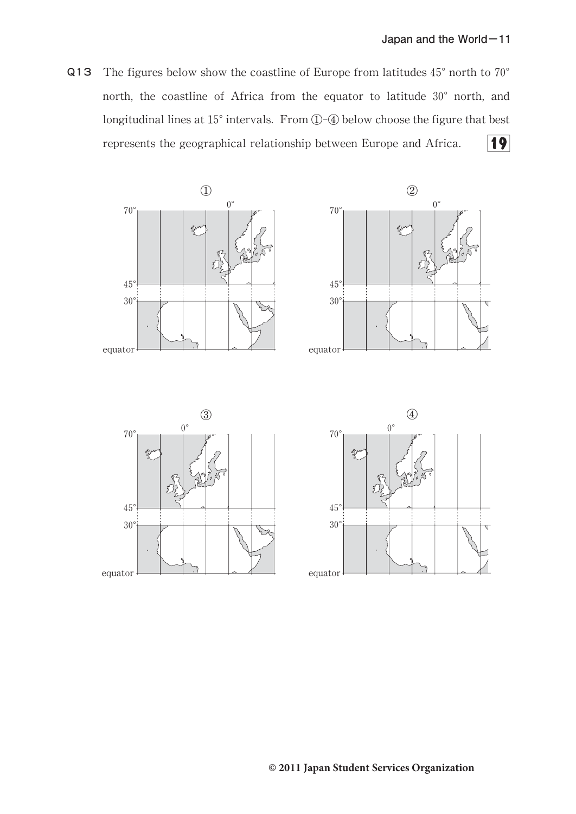Q13 The figures below show the coastline of Europe from latitudes  $45^{\circ}$  north to  $70^{\circ}$ north, the coastline of Africa from the equator to latitude 30° north, and longitudinal lines at 15° intervals. From ①-④ below choose the figure that best represents the geographical relationship between Europe and Africa.  $\overline{19}$ 







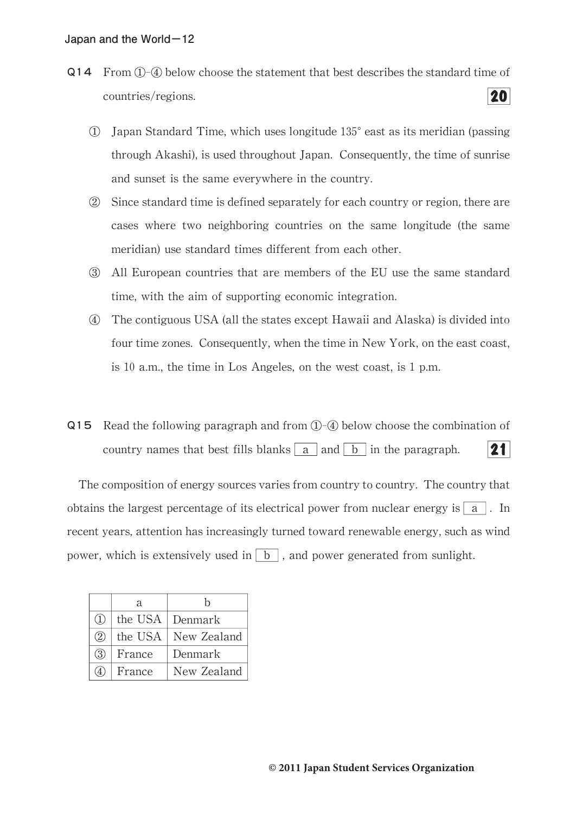- Q14 From①-④ below choose the statement that best describes the standard time of 20 countries/regions.
	- ① Japan Standard Time,which uses longitude135°east as its meridian(passing through Akashi), is used throughout Japan. Consequently, the time of sunrise and sunset is the same everywhere in the country.
	- ② Since standard time is defined separately for each country or region,there are cases where two neighboring countries on the same longitude(the same meridian) use standard times different from each other.
	- ③ All European countries that are members of the EU use the same standard time, with the aim of supporting economic integration.
	- ④ The contiguous USA(all the states except Hawaii and Alaska)is divided into four time zones. Consequently, when the time in New York, on the east coast, is 10 a.m., the time in Los Angeles, on the west coast, is  $1$  p.m.
- $Q15$  Read the following paragraph and from  $(1)$ - $(4)$  below choose the combination of country names that best fills blanks  $\boxed{a}$  and  $\boxed{b}$  in the paragraph.  $21<sup>1</sup>$

The composition of energy sources varies from country to country. The country that obtains the largest percentage of its electrical power from nuclear energy is  $|a|$ . In recent years, attention has increasingly turned toward renewable energy, such as wind power, which is extensively used in  $\boxed{b}$ , and power generated from sunlight.

|                         | a      | h                     |
|-------------------------|--------|-----------------------|
| $\left( \Gamma \right)$ |        | the USA Denmark       |
| (2)                     |        | the USA   New Zealand |
| (3)                     | France | Denmark               |
|                         | France | New Zealand           |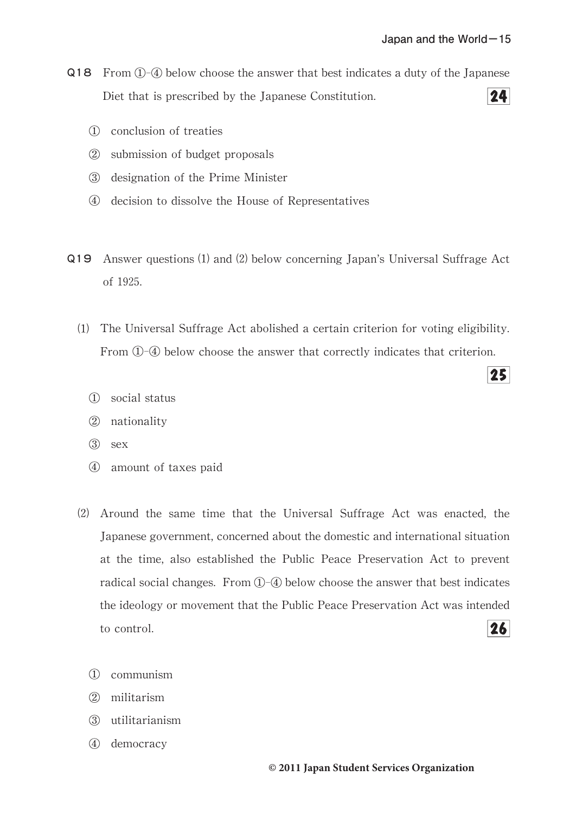- Q18 From ①-④ below choose the answer that best indicates a duty of the Japanese  $24$ Diet that is prescribed by the Japanese Constitution.
	- ① conclusion of treaties
	- ② submission of budget proposals
	- ③ designation of the Prime Minister
	- ④ decision to dissolve the House of Representatives
- Q19 Answer questions⑴ and⑵ below concerning Japan's Universal Suffrage Act of 1925.
	- ⑴ The Universal Suffrage Act abolished a certain criterion for voting eligibility. From ①-④ below choose the answer that correctly indicates that criterion.
		- ① social status
		- ② nationality
		- ③ sex
		- ④ amount of taxes paid
	- $(2)$  Around the same time that the Universal Suffrage Act was enacted, the Japanese government, concerned about the domestic and international situation at the time, also established the Public Peace Preservation Act to prevent radical social changes. From  $(1)$ - $(4)$  below choose the answer that best indicates the ideology or movement that the Public Peace Preservation Act was intended  $26$ to control.
		- ① communism
		- ② militarism
		- ③ utilitarianism
		- ④ democracy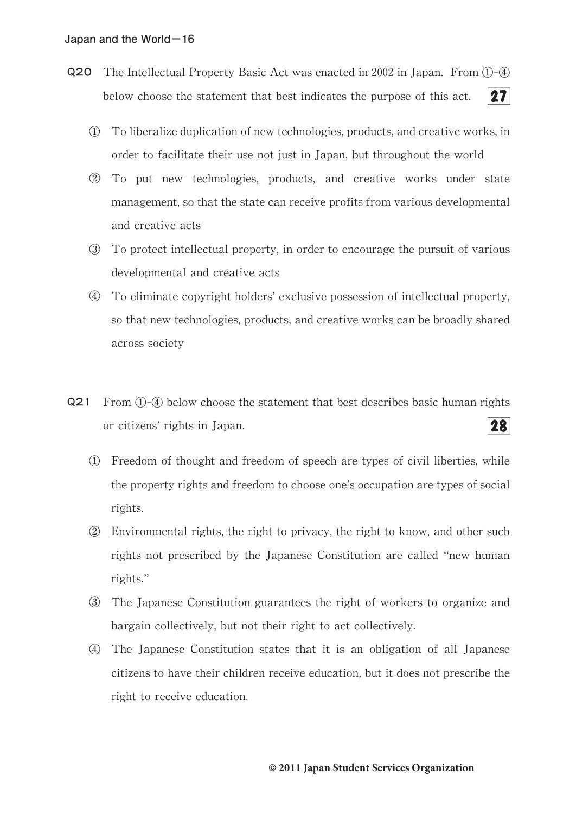- Q20 The Intellectual Property Basic Act was enacted in 2002 in Japan. From 1 4  $27<sup>1</sup>$ below choose the statement that best indicates the purpose of this act.
	- ① To liberalize duplication of new technologies,products,and creative works,in order to facilitate their use not just in Japan, but throughout the world
	- ② To put new technologies,products,and creative works under state management, so that the state can receive profits from various developmental and creative acts
	- ③ To protect intellectual property,in order to encourage the pursuit of various developmental and creative acts
	- ④ To eliminate copyright holders'exclusive possession of intellectual property, so that new technologies, products, and creative works can be broadly shared across society
- Q21 From ①-④ below choose the statement that best describes basic human rights or citizens'rights in Japan.  $28$ 
	- ① Freedom of thought and freedom of speech are types of civil liberties,while the property rights and freedom to choose one's occupation are types of social rights.
	- ② Environmental rights,the right to privacy,the right to know,and other such rights not prescribed by the Japanese Constitution are called"new human rights."
	- ③ The Japanese Constitution guarantees the right of workers to organize and bargain collectively, but not their right to act collectively.
	- ④ The Japanese Constitution states that it is an obligation of all Japanese citizens to have their children receive education, but it does not prescribe the right to receive education.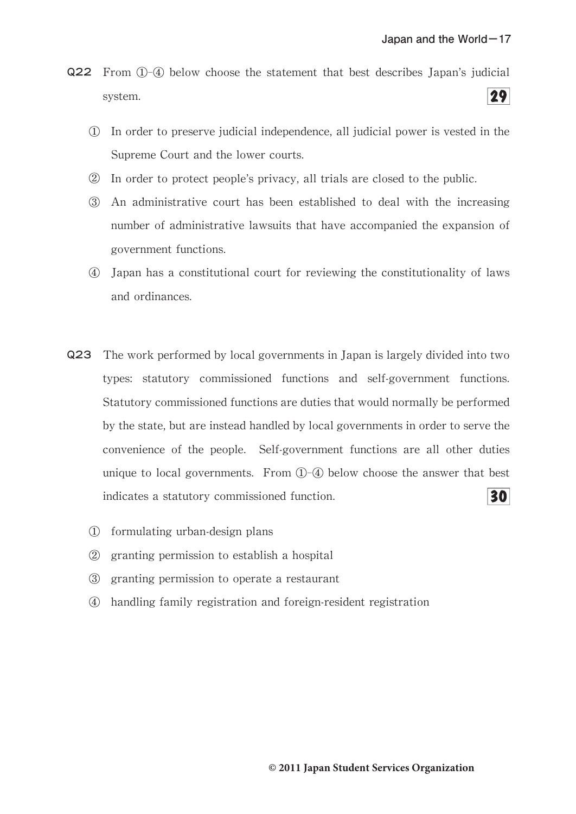- Q22 From ①-④ below choose the statement that best describes Japan's judicial  $29$ system.
	- ① In order to preserve judicial independence,all judicial power is vested in the Supreme Court and the lower courts.
	- ② In order to protect people's privacy,all trials are closed to the public.
	- ③ An administrative court has been established to deal with the increasing number of administrative lawsuits that have accompanied the expansion of government functions.
	- ④ Japan has a constitutional court for reviewing the constitutionality of laws and ordinances.
- Q23 The work performed by local governments in Japan is largely divided into two types: statutory commissioned functions and self-government functions. Statutory commissioned functions are duties that would normally be performed by the state, but are instead handled by local governments in order to serve the convenience of the people. Self-government functions are all other duties unique to local governments. From  $\mathbb{O}$ - $\mathbb Q$  below choose the answer that best  $30<sub>l</sub>$ indicates a statutory commissioned function.
	- ① formulating urban-design plans
	- ② granting permission to establish a hospital
	- ③ granting permission to operate a restaurant
	- ④ handling family registration and foreign-resident registration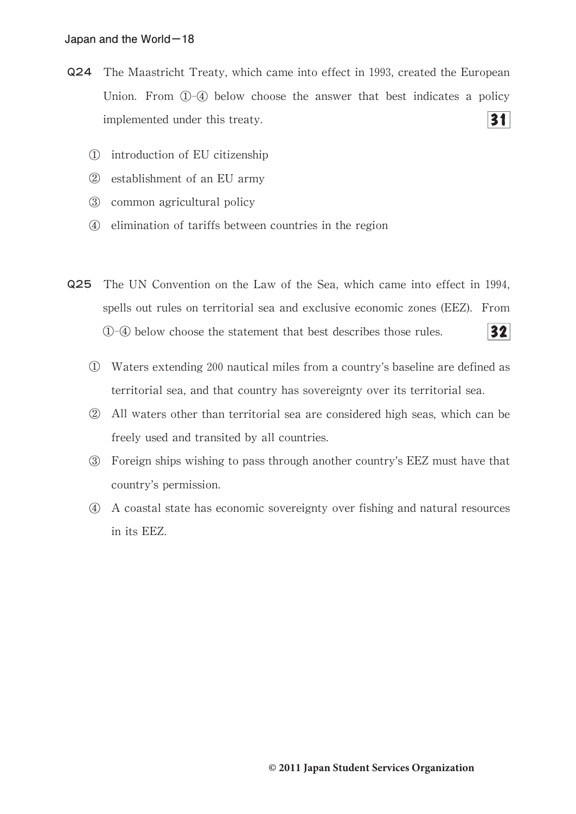- Q24 The Maastricht Treaty, which came into effect in 1993, created the European Union. From  $(1)$ - $(4)$  below choose the answer that best indicates a policy  $31<sup>1</sup>$ implemented under this treaty.
	- ① introduction of EU citizenship
	- ② establishment of an EU army
	- ③ common agricultural policy
	- ④ elimination of tariffs between countries in the region
- Q25 The UN Convention on the Law of the Sea, which came into effect in 1994, spells out rules on territorial sea and exclusive economic zones (EEZ). From ①-④ below choose the statement that best describes those rules.  $32<sub>1</sub>$ 
	- ① Waters extending 200 nautical miles from a country's baseline are defined as territorial sea, and that country has sovereignty over its territorial sea.
	- ② All waters other than territorial sea are considered high seas,which can be freely used and transited by all countries.
	- ③ Foreign ships wishing to pass through another country's EEZ must have that country's permission.
	- ④ A coastal state has economic sovereignty over fishing and natural resources in its EEZ.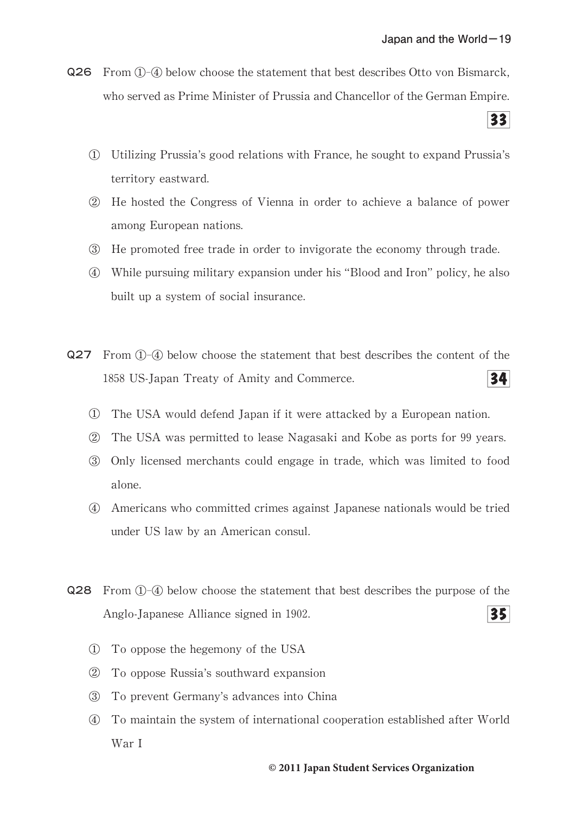Q26 From  $(1)$ - $(4)$  below choose the statement that best describes Otto von Bismarck, who served as Prime Minister of Prussia and Chancellor of the German Empire.

 $33$ 

- ① Utilizing Prussia's good relations with France,he sought to expand Prussia's territory eastward.
- ② He hosted the Congress of Vienna in order to achieve a balance of power among European nations.
- ③ He promoted free trade in order to invigorate the economy through trade.
- ④ While pursuing military expansion under his"Blood and Iron"policy,he also built up a system of social insurance.
- Q27 From ①-④ below choose the statement that best describes the content of the  $34<sup>1</sup>$ 1858 US-Japan Treaty of Amity and Commerce.
	- ① The USA would defend Japan if it were attacked by a European nation.
	- ② The USA was permitted to lease Nagasaki and Kobe as ports for 99 years.
	- ③ Only licensed merchants could engage in trade,which was limited to food alone.
	- ④ Americans who committed crimes against Japanese nationals would be tried under US law by an American consul.
- Q28 From ①-④ below choose the statement that best describes the purpose of the Anglo-Japanese Alliance signed in 1902. 351
	- ① To oppose the hegemony of the USA
	- ② To oppose Russia's southward expansion
	- ③ To prevent Germany's advances into China
	- ④ To maintain the system of international cooperation established after World War I

## **© 2011 Japan Student Services Organization**